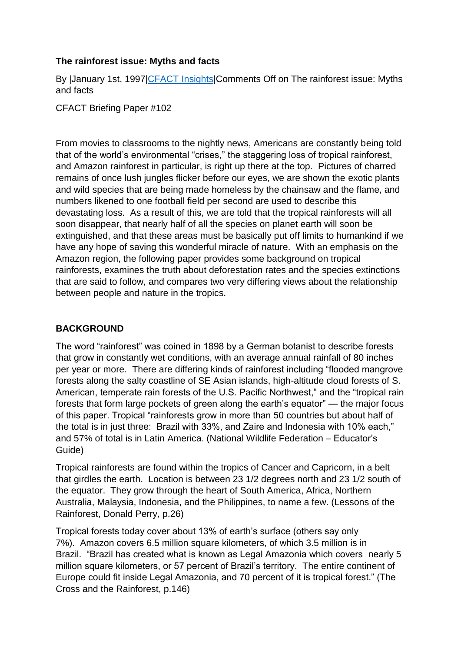## **The rainforest issue: Myths and facts**

By |January 1st, 1997[|CFACT Insights|](https://www.cfact.org/category/cfact-insights/)Comments Off on The rainforest issue: Myths and facts

CFACT Briefing Paper #102

From movies to classrooms to the nightly news, Americans are constantly being told that of the world's environmental "crises," the staggering loss of tropical rainforest, and Amazon rainforest in particular, is right up there at the top. Pictures of charred remains of once lush jungles flicker before our eyes, we are shown the exotic plants and wild species that are being made homeless by the chainsaw and the flame, and numbers likened to one football field per second are used to describe this devastating loss. As a result of this, we are told that the tropical rainforests will all soon disappear, that nearly half of all the species on planet earth will soon be extinguished, and that these areas must be basically put off limits to humankind if we have any hope of saving this wonderful miracle of nature. With an emphasis on the Amazon region, the following paper provides some background on tropical rainforests, examines the truth about deforestation rates and the species extinctions that are said to follow, and compares two very differing views about the relationship between people and nature in the tropics.

## **BACKGROUND**

The word "rainforest" was coined in 1898 by a German botanist to describe forests that grow in constantly wet conditions, with an average annual rainfall of 80 inches per year or more. There are differing kinds of rainforest including "flooded mangrove forests along the salty coastline of SE Asian islands, high-altitude cloud forests of S. American, temperate rain forests of the U.S. Pacific Northwest," and the "tropical rain forests that form large pockets of green along the earth's equator" — the major focus of this paper. Tropical "rainforests grow in more than 50 countries but about half of the total is in just three: Brazil with 33%, and Zaire and Indonesia with 10% each," and 57% of total is in Latin America. (National Wildlife Federation – Educator's Guide)

Tropical rainforests are found within the tropics of Cancer and Capricorn, in a belt that girdles the earth. Location is between 23 1/2 degrees north and 23 1/2 south of the equator. They grow through the heart of South America, Africa, Northern Australia, Malaysia, Indonesia, and the Philippines, to name a few. (Lessons of the Rainforest, Donald Perry, p.26)

Tropical forests today cover about 13% of earth's surface (others say only 7%). Amazon covers 6.5 million square kilometers, of which 3.5 million is in Brazil. "Brazil has created what is known as Legal Amazonia which covers nearly 5 million square kilometers, or 57 percent of Brazil's territory. The entire continent of Europe could fit inside Legal Amazonia, and 70 percent of it is tropical forest." (The Cross and the Rainforest, p.146)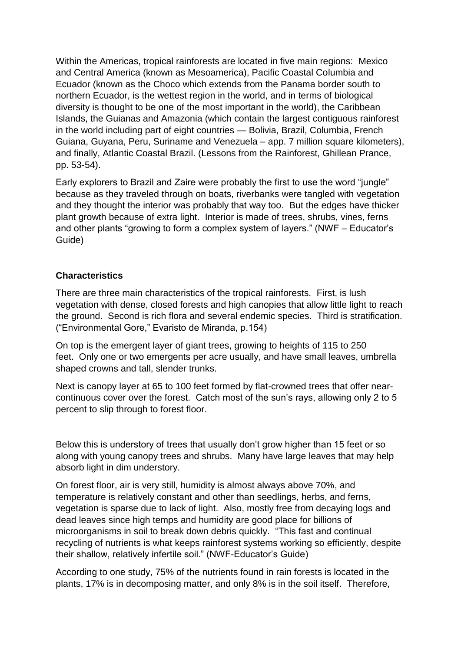Within the Americas, tropical rainforests are located in five main regions: Mexico and Central America (known as Mesoamerica), Pacific Coastal Columbia and Ecuador (known as the Choco which extends from the Panama border south to northern Ecuador, is the wettest region in the world, and in terms of biological diversity is thought to be one of the most important in the world), the Caribbean Islands, the Guianas and Amazonia (which contain the largest contiguous rainforest in the world including part of eight countries — Bolivia, Brazil, Columbia, French Guiana, Guyana, Peru, Suriname and Venezuela – app. 7 million square kilometers), and finally, Atlantic Coastal Brazil. (Lessons from the Rainforest, Ghillean Prance, pp. 53-54).

Early explorers to Brazil and Zaire were probably the first to use the word "jungle" because as they traveled through on boats, riverbanks were tangled with vegetation and they thought the interior was probably that way too. But the edges have thicker plant growth because of extra light. Interior is made of trees, shrubs, vines, ferns and other plants "growing to form a complex system of layers." (NWF – Educator's Guide)

#### **Characteristics**

There are three main characteristics of the tropical rainforests. First, is lush vegetation with dense, closed forests and high canopies that allow little light to reach the ground. Second is rich flora and several endemic species. Third is stratification. ("Environmental Gore," Evaristo de Miranda, p.154)

On top is the emergent layer of giant trees, growing to heights of 115 to 250 feet. Only one or two emergents per acre usually, and have small leaves, umbrella shaped crowns and tall, slender trunks.

Next is canopy layer at 65 to 100 feet formed by flat-crowned trees that offer nearcontinuous cover over the forest. Catch most of the sun's rays, allowing only 2 to 5 percent to slip through to forest floor.

Below this is understory of trees that usually don't grow higher than 15 feet or so along with young canopy trees and shrubs. Many have large leaves that may help absorb light in dim understory.

On forest floor, air is very still, humidity is almost always above 70%, and temperature is relatively constant and other than seedlings, herbs, and ferns, vegetation is sparse due to lack of light. Also, mostly free from decaying logs and dead leaves since high temps and humidity are good place for billions of microorganisms in soil to break down debris quickly. "This fast and continual recycling of nutrients is what keeps rainforest systems working so efficiently, despite their shallow, relatively infertile soil." (NWF-Educator's Guide)

According to one study, 75% of the nutrients found in rain forests is located in the plants, 17% is in decomposing matter, and only 8% is in the soil itself. Therefore,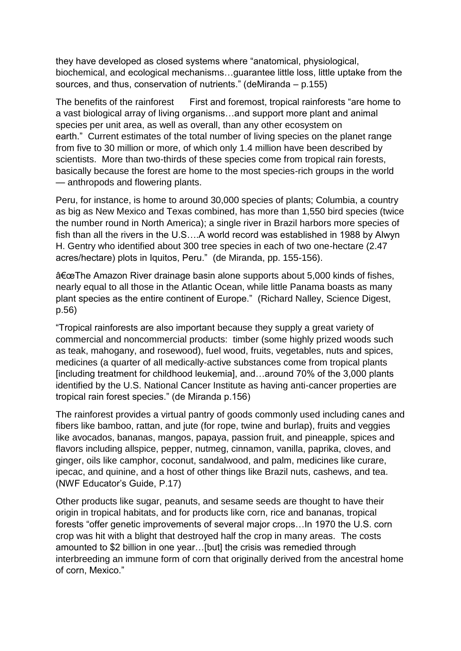they have developed as closed systems where "anatomical, physiological, biochemical, and ecological mechanisms…guarantee little loss, little uptake from the sources, and thus, conservation of nutrients." (deMiranda – p.155)

The benefits of the rainforest First and foremost, tropical rainforests "are home to a vast biological array of living organisms…and support more plant and animal species per unit area, as well as overall, than any other ecosystem on earth." Current estimates of the total number of living species on the planet range from five to 30 million or more, of which only 1.4 million have been described by scientists. More than two-thirds of these species come from tropical rain forests, basically because the forest are home to the most species-rich groups in the world — anthropods and flowering plants.

Peru, for instance, is home to around 30,000 species of plants; Columbia, a country as big as New Mexico and Texas combined, has more than 1,550 bird species (twice the number round in North America); a single river in Brazil harbors more species of fish than all the rivers in the U.S….A world record was established in 1988 by Alwyn H. Gentry who identified about 300 tree species in each of two one-hectare (2.47 acres/hectare) plots in Iquitos, Peru." (de Miranda, pp. 155-156).

"The Amazon River drainage basin alone supports about 5,000 kinds of fishes, nearly equal to all those in the Atlantic Ocean, while little Panama boasts as many plant species as the entire continent of Europe." (Richard Nalley, Science Digest, p.56)

"Tropical rainforests are also important because they supply a great variety of commercial and noncommercial products: timber (some highly prized woods such as teak, mahogany, and rosewood), fuel wood, fruits, vegetables, nuts and spices, medicines (a quarter of all medically-active substances come from tropical plants [including treatment for childhood leukemia], and…around 70% of the 3,000 plants identified by the U.S. National Cancer Institute as having anti-cancer properties are tropical rain forest species." (de Miranda p.156)

The rainforest provides a virtual pantry of goods commonly used including canes and fibers like bamboo, rattan, and jute (for rope, twine and burlap), fruits and veggies like avocados, bananas, mangos, papaya, passion fruit, and pineapple, spices and flavors including allspice, pepper, nutmeg, cinnamon, vanilla, paprika, cloves, and ginger, oils like camphor, coconut, sandalwood, and palm, medicines like curare, ipecac, and quinine, and a host of other things like Brazil nuts, cashews, and tea. (NWF Educator's Guide, P.17)

Other products like sugar, peanuts, and sesame seeds are thought to have their origin in tropical habitats, and for products like corn, rice and bananas, tropical forests "offer genetic improvements of several major crops…In 1970 the U.S. corn crop was hit with a blight that destroyed half the crop in many areas. The costs amounted to \$2 billion in one year…[but] the crisis was remedied through interbreeding an immune form of corn that originally derived from the ancestral home of corn, Mexico."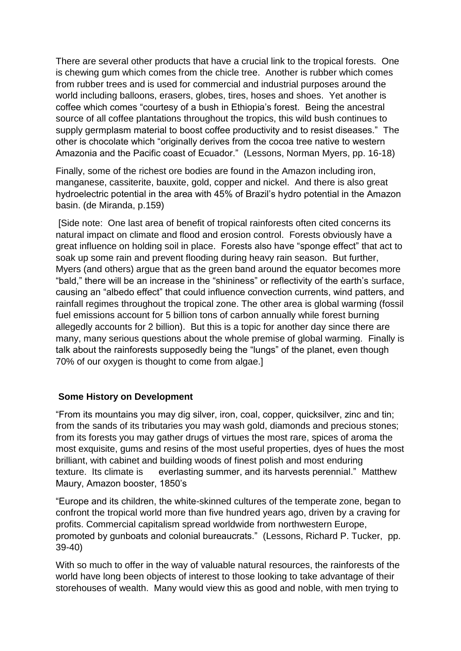There are several other products that have a crucial link to the tropical forests. One is chewing gum which comes from the chicle tree. Another is rubber which comes from rubber trees and is used for commercial and industrial purposes around the world including balloons, erasers, globes, tires, hoses and shoes. Yet another is coffee which comes "courtesy of a bush in Ethiopia's forest. Being the ancestral source of all coffee plantations throughout the tropics, this wild bush continues to supply germplasm material to boost coffee productivity and to resist diseases." The other is chocolate which "originally derives from the cocoa tree native to western Amazonia and the Pacific coast of Ecuador." (Lessons, Norman Myers, pp. 16-18)

Finally, some of the richest ore bodies are found in the Amazon including iron, manganese, cassiterite, bauxite, gold, copper and nickel. And there is also great hydroelectric potential in the area with 45% of Brazil's hydro potential in the Amazon basin. (de Miranda, p.159)

[Side note: One last area of benefit of tropical rainforests often cited concerns its natural impact on climate and flood and erosion control. Forests obviously have a great influence on holding soil in place. Forests also have "sponge effect" that act to soak up some rain and prevent flooding during heavy rain season. But further, Myers (and others) argue that as the green band around the equator becomes more "bald," there will be an increase in the "shininess" or reflectivity of the earth's surface, causing an "albedo effect" that could influence convection currents, wind patters, and rainfall regimes throughout the tropical zone. The other area is global warming (fossil fuel emissions account for 5 billion tons of carbon annually while forest burning allegedly accounts for 2 billion). But this is a topic for another day since there are many, many serious questions about the whole premise of global warming. Finally is talk about the rainforests supposedly being the "lungs" of the planet, even though 70% of our oxygen is thought to come from algae.]

#### **Some History on Development**

"From its mountains you may dig silver, iron, coal, copper, quicksilver, zinc and tin; from the sands of its tributaries you may wash gold, diamonds and precious stones; from its forests you may gather drugs of virtues the most rare, spices of aroma the most exquisite, gums and resins of the most useful properties, dyes of hues the most brilliant, with cabinet and building woods of finest polish and most enduring texture. Its climate is everlasting summer, and its harvests perennial." Matthew Maury, Amazon booster, 1850's

"Europe and its children, the white-skinned cultures of the temperate zone, began to confront the tropical world more than five hundred years ago, driven by a craving for profits. Commercial capitalism spread worldwide from northwestern Europe, promoted by gunboats and colonial bureaucrats." (Lessons, Richard P. Tucker, pp. 39-40)

With so much to offer in the way of valuable natural resources, the rainforests of the world have long been objects of interest to those looking to take advantage of their storehouses of wealth. Many would view this as good and noble, with men trying to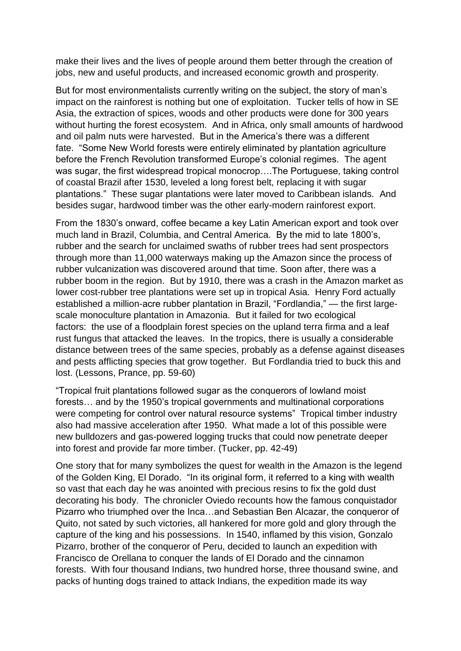make their lives and the lives of people around them better through the creation of jobs, new and useful products, and increased economic growth and prosperity.

But for most environmentalists currently writing on the subject, the story of man's impact on the rainforest is nothing but one of exploitation. Tucker tells of how in SE Asia, the extraction of spices, woods and other products were done for 300 years without hurting the forest ecosystem. And in Africa, only small amounts of hardwood and oil palm nuts were harvested. But in the America's there was a different fate. "Some New World forests were entirely eliminated by plantation agriculture before the French Revolution transformed Europe's colonial regimes. The agent was sugar, the first widespread tropical monocrop….The Portuguese, taking control of coastal Brazil after 1530, leveled a long forest belt, replacing it with sugar plantations." These sugar plantations were later moved to Caribbean islands. And besides sugar, hardwood timber was the other early-modern rainforest export.

From the 1830's onward, coffee became a key Latin American export and took over much land in Brazil, Columbia, and Central America. By the mid to late 1800's, rubber and the search for unclaimed swaths of rubber trees had sent prospectors through more than 11,000 waterways making up the Amazon since the process of rubber vulcanization was discovered around that time. Soon after, there was a rubber boom in the region. But by 1910, there was a crash in the Amazon market as lower cost-rubber tree plantations were set up in tropical Asia. Henry Ford actually established a million-acre rubber plantation in Brazil, "Fordlandia," — the first largescale monoculture plantation in Amazonia. But it failed for two ecological factors: the use of a floodplain forest species on the upland terra firma and a leaf rust fungus that attacked the leaves. In the tropics, there is usually a considerable distance between trees of the same species, probably as a defense against diseases and pests afflicting species that grow together. But Fordlandia tried to buck this and lost. (Lessons, Prance, pp. 59-60)

"Tropical fruit plantations followed sugar as the conquerors of lowland moist forests… and by the 1950's tropical governments and multinational corporations were competing for control over natural resource systems" Tropical timber industry also had massive acceleration after 1950. What made a lot of this possible were new bulldozers and gas-powered logging trucks that could now penetrate deeper into forest and provide far more timber. (Tucker, pp. 42-49)

One story that for many symbolizes the quest for wealth in the Amazon is the legend of the Golden King, El Dorado. "In its original form, it referred to a king with wealth so vast that each day he was anointed with precious resins to fix the gold dust decorating his body. The chronicler Oviedo recounts how the famous conquistador Pizarro who triumphed over the Inca…and Sebastian Ben Alcazar, the conqueror of Quito, not sated by such victories, all hankered for more gold and glory through the capture of the king and his possessions. In 1540, inflamed by this vision, Gonzalo Pizarro, brother of the conqueror of Peru, decided to launch an expedition with Francisco de Orellana to conquer the lands of El Dorado and the cinnamon forests. With four thousand Indians, two hundred horse, three thousand swine, and packs of hunting dogs trained to attack Indians, the expedition made its way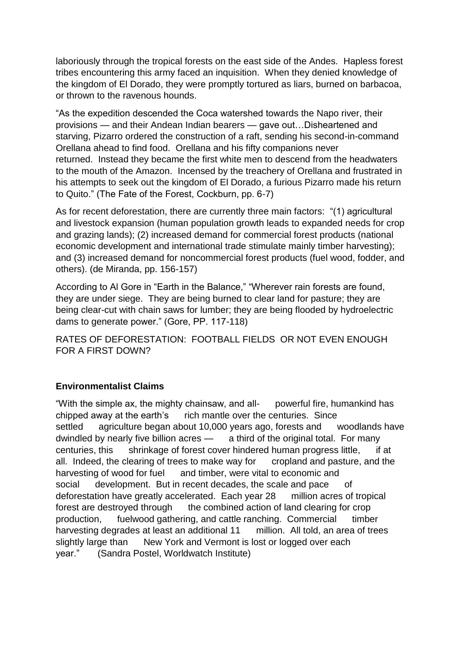laboriously through the tropical forests on the east side of the Andes. Hapless forest tribes encountering this army faced an inquisition. When they denied knowledge of the kingdom of El Dorado, they were promptly tortured as liars, burned on barbacoa, or thrown to the ravenous hounds.

"As the expedition descended the Coca watershed towards the Napo river, their provisions — and their Andean Indian bearers — gave out…Disheartened and starving, Pizarro ordered the construction of a raft, sending his second-in-command Orellana ahead to find food. Orellana and his fifty companions never returned. Instead they became the first white men to descend from the headwaters to the mouth of the Amazon. Incensed by the treachery of Orellana and frustrated in his attempts to seek out the kingdom of El Dorado, a furious Pizarro made his return to Quito." (The Fate of the Forest, Cockburn, pp. 6-7)

As for recent deforestation, there are currently three main factors: "(1) agricultural and livestock expansion (human population growth leads to expanded needs for crop and grazing lands); (2) increased demand for commercial forest products (national economic development and international trade stimulate mainly timber harvesting); and (3) increased demand for noncommercial forest products (fuel wood, fodder, and others). (de Miranda, pp. 156-157)

According to Al Gore in "Earth in the Balance," "Wherever rain forests are found, they are under siege. They are being burned to clear land for pasture; they are being clear-cut with chain saws for lumber; they are being flooded by hydroelectric dams to generate power." (Gore, PP. 117-118)

RATES OF DEFORESTATION: FOOTBALL FIELDS OR NOT EVEN ENOUGH FOR A FIRST DOWN?

# **Environmentalist Claims**

"With the simple ax, the mighty chainsaw, and all- powerful fire, humankind has chipped away at the earth's rich mantle over the centuries. Since settled agriculture began about 10,000 years ago, forests and woodlands have dwindled by nearly five billion acres — a third of the original total. For many centuries, this shrinkage of forest cover hindered human progress little, if at all. Indeed, the clearing of trees to make way for cropland and pasture, and the harvesting of wood for fuel and timber, were vital to economic and social development. But in recent decades, the scale and pace of deforestation have greatly accelerated. Each year 28 million acres of tropical forest are destroyed through the combined action of land clearing for crop production, fuelwood gathering, and cattle ranching. Commercial timber harvesting degrades at least an additional 11 million. All told, an area of trees slightly large than New York and Vermont is lost or logged over each year." (Sandra Postel, Worldwatch Institute)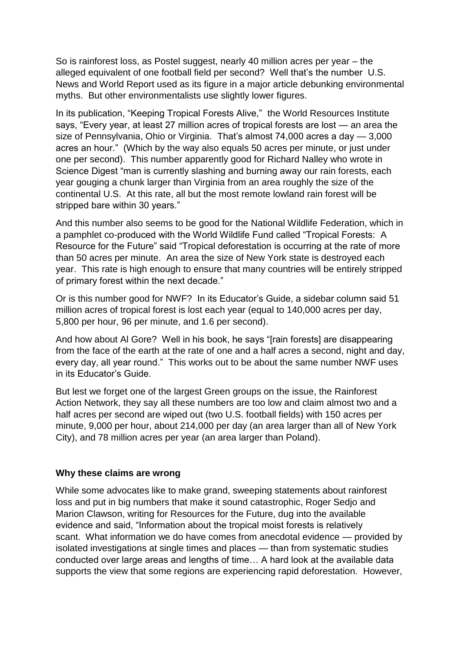So is rainforest loss, as Postel suggest, nearly 40 million acres per year – the alleged equivalent of one football field per second? Well that's the number U.S. News and World Report used as its figure in a major article debunking environmental myths. But other environmentalists use slightly lower figures.

In its publication, "Keeping Tropical Forests Alive," the World Resources Institute says, "Every year, at least 27 million acres of tropical forests are lost — an area the size of Pennsylvania, Ohio or Virginia. That's almost 74,000 acres a day — 3,000 acres an hour." (Which by the way also equals 50 acres per minute, or just under one per second). This number apparently good for Richard Nalley who wrote in Science Digest "man is currently slashing and burning away our rain forests, each year gouging a chunk larger than Virginia from an area roughly the size of the continental U.S. At this rate, all but the most remote lowland rain forest will be stripped bare within 30 years."

And this number also seems to be good for the National Wildlife Federation, which in a pamphlet co-produced with the World Wildlife Fund called "Tropical Forests: A Resource for the Future" said "Tropical deforestation is occurring at the rate of more than 50 acres per minute. An area the size of New York state is destroyed each year. This rate is high enough to ensure that many countries will be entirely stripped of primary forest within the next decade."

Or is this number good for NWF? In its Educator's Guide, a sidebar column said 51 million acres of tropical forest is lost each year (equal to 140,000 acres per day, 5,800 per hour, 96 per minute, and 1.6 per second).

And how about Al Gore? Well in his book, he says "[rain forests] are disappearing from the face of the earth at the rate of one and a half acres a second, night and day, every day, all year round." This works out to be about the same number NWF uses in its Educator's Guide.

But lest we forget one of the largest Green groups on the issue, the Rainforest Action Network, they say all these numbers are too low and claim almost two and a half acres per second are wiped out (two U.S. football fields) with 150 acres per minute, 9,000 per hour, about 214,000 per day (an area larger than all of New York City), and 78 million acres per year (an area larger than Poland).

#### **Why these claims are wrong**

While some advocates like to make grand, sweeping statements about rainforest loss and put in big numbers that make it sound catastrophic, Roger Sedjo and Marion Clawson, writing for Resources for the Future, dug into the available evidence and said, "Information about the tropical moist forests is relatively scant. What information we do have comes from anecdotal evidence — provided by isolated investigations at single times and places — than from systematic studies conducted over large areas and lengths of time… A hard look at the available data supports the view that some regions are experiencing rapid deforestation. However,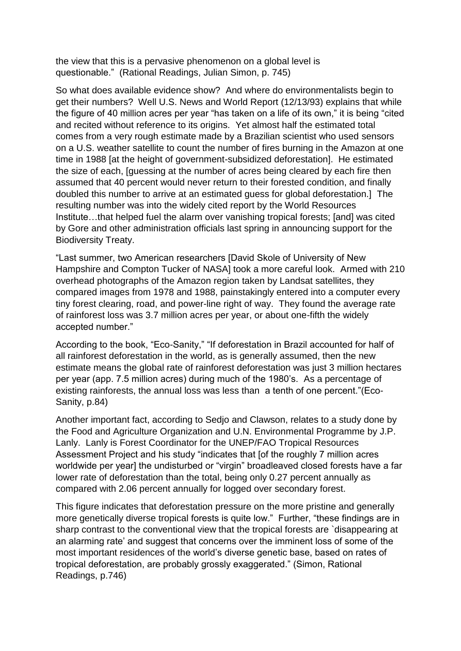the view that this is a pervasive phenomenon on a global level is questionable." (Rational Readings, Julian Simon, p. 745)

So what does available evidence show? And where do environmentalists begin to get their numbers? Well U.S. News and World Report (12/13/93) explains that while the figure of 40 million acres per year "has taken on a life of its own," it is being "cited and recited without reference to its origins. Yet almost half the estimated total comes from a very rough estimate made by a Brazilian scientist who used sensors on a U.S. weather satellite to count the number of fires burning in the Amazon at one time in 1988 [at the height of government-subsidized deforestation]. He estimated the size of each, [guessing at the number of acres being cleared by each fire then assumed that 40 percent would never return to their forested condition, and finally doubled this number to arrive at an estimated guess for global deforestation.] The resulting number was into the widely cited report by the World Resources Institute…that helped fuel the alarm over vanishing tropical forests; [and] was cited by Gore and other administration officials last spring in announcing support for the Biodiversity Treaty.

"Last summer, two American researchers [David Skole of University of New Hampshire and Compton Tucker of NASA] took a more careful look. Armed with 210 overhead photographs of the Amazon region taken by Landsat satellites, they compared images from 1978 and 1988, painstakingly entered into a computer every tiny forest clearing, road, and power-line right of way. They found the average rate of rainforest loss was 3.7 million acres per year, or about one-fifth the widely accepted number."

According to the book, "Eco-Sanity," "If deforestation in Brazil accounted for half of all rainforest deforestation in the world, as is generally assumed, then the new estimate means the global rate of rainforest deforestation was just 3 million hectares per year (app. 7.5 million acres) during much of the 1980's. As a percentage of existing rainforests, the annual loss was less than a tenth of one percent."(Eco-Sanity, p.84)

Another important fact, according to Sedjo and Clawson, relates to a study done by the Food and Agriculture Organization and U.N. Environmental Programme by J.P. Lanly. Lanly is Forest Coordinator for the UNEP/FAO Tropical Resources Assessment Project and his study "indicates that [of the roughly 7 million acres worldwide per year] the undisturbed or "virgin" broadleaved closed forests have a far lower rate of deforestation than the total, being only 0.27 percent annually as compared with 2.06 percent annually for logged over secondary forest.

This figure indicates that deforestation pressure on the more pristine and generally more genetically diverse tropical forests is quite low." Further, "these findings are in sharp contrast to the conventional view that the tropical forests are `disappearing at an alarming rate' and suggest that concerns over the imminent loss of some of the most important residences of the world's diverse genetic base, based on rates of tropical deforestation, are probably grossly exaggerated." (Simon, Rational Readings, p.746)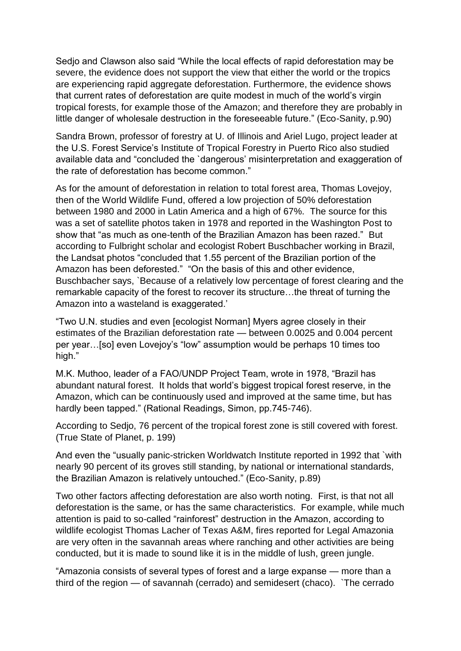Sedjo and Clawson also said "While the local effects of rapid deforestation may be severe, the evidence does not support the view that either the world or the tropics are experiencing rapid aggregate deforestation. Furthermore, the evidence shows that current rates of deforestation are quite modest in much of the world's virgin tropical forests, for example those of the Amazon; and therefore they are probably in little danger of wholesale destruction in the foreseeable future." (Eco-Sanity, p.90)

Sandra Brown, professor of forestry at U. of Illinois and Ariel Lugo, project leader at the U.S. Forest Service's Institute of Tropical Forestry in Puerto Rico also studied available data and "concluded the `dangerous' misinterpretation and exaggeration of the rate of deforestation has become common."

As for the amount of deforestation in relation to total forest area, Thomas Lovejoy, then of the World Wildlife Fund, offered a low projection of 50% deforestation between 1980 and 2000 in Latin America and a high of 67%. The source for this was a set of satellite photos taken in 1978 and reported in the Washington Post to show that "as much as one-tenth of the Brazilian Amazon has been razed." But according to Fulbright scholar and ecologist Robert Buschbacher working in Brazil, the Landsat photos "concluded that 1.55 percent of the Brazilian portion of the Amazon has been deforested." "On the basis of this and other evidence, Buschbacher says, `Because of a relatively low percentage of forest clearing and the remarkable capacity of the forest to recover its structure…the threat of turning the Amazon into a wasteland is exaggerated.'

"Two U.N. studies and even [ecologist Norman] Myers agree closely in their estimates of the Brazilian deforestation rate — between 0.0025 and 0.004 percent per year…[so] even Lovejoy's "low" assumption would be perhaps 10 times too high."

M.K. Muthoo, leader of a FAO/UNDP Project Team, wrote in 1978, "Brazil has abundant natural forest. It holds that world's biggest tropical forest reserve, in the Amazon, which can be continuously used and improved at the same time, but has hardly been tapped." (Rational Readings, Simon, pp.745-746).

According to Sedjo, 76 percent of the tropical forest zone is still covered with forest. (True State of Planet, p. 199)

And even the "usually panic-stricken Worldwatch Institute reported in 1992 that `with nearly 90 percent of its groves still standing, by national or international standards, the Brazilian Amazon is relatively untouched." (Eco-Sanity, p.89)

Two other factors affecting deforestation are also worth noting. First, is that not all deforestation is the same, or has the same characteristics. For example, while much attention is paid to so-called "rainforest" destruction in the Amazon, according to wildlife ecologist Thomas Lacher of Texas A&M, fires reported for Legal Amazonia are very often in the savannah areas where ranching and other activities are being conducted, but it is made to sound like it is in the middle of lush, green jungle.

"Amazonia consists of several types of forest and a large expanse — more than a third of the region — of savannah (cerrado) and semidesert (chaco). `The cerrado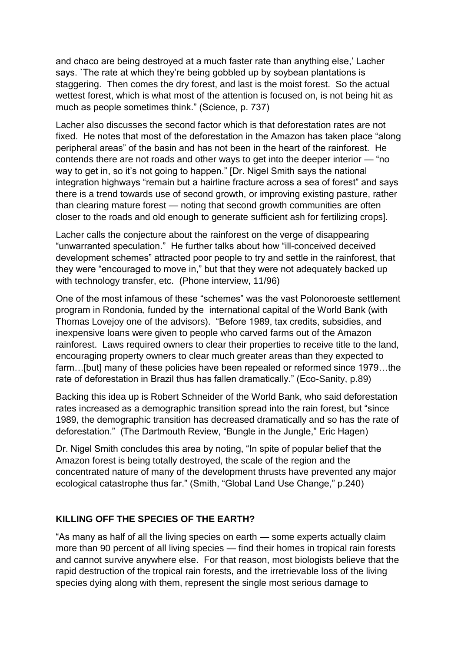and chaco are being destroyed at a much faster rate than anything else,' Lacher says. `The rate at which they're being gobbled up by soybean plantations is staggering. Then comes the dry forest, and last is the moist forest. So the actual wettest forest, which is what most of the attention is focused on, is not being hit as much as people sometimes think." (Science, p. 737)

Lacher also discusses the second factor which is that deforestation rates are not fixed. He notes that most of the deforestation in the Amazon has taken place "along peripheral areas" of the basin and has not been in the heart of the rainforest. He contends there are not roads and other ways to get into the deeper interior — "no way to get in, so it's not going to happen." [Dr. Nigel Smith says the national integration highways "remain but a hairline fracture across a sea of forest" and says there is a trend towards use of second growth, or improving existing pasture, rather than clearing mature forest — noting that second growth communities are often closer to the roads and old enough to generate sufficient ash for fertilizing crops].

Lacher calls the conjecture about the rainforest on the verge of disappearing "unwarranted speculation." He further talks about how "ill-conceived deceived development schemes" attracted poor people to try and settle in the rainforest, that they were "encouraged to move in," but that they were not adequately backed up with technology transfer, etc. (Phone interview, 11/96)

One of the most infamous of these "schemes" was the vast Polonoroeste settlement program in Rondonia, funded by the international capital of the World Bank (with Thomas Lovejoy one of the advisors). "Before 1989, tax credits, subsidies, and inexpensive loans were given to people who carved farms out of the Amazon rainforest. Laws required owners to clear their properties to receive title to the land, encouraging property owners to clear much greater areas than they expected to farm…[but] many of these policies have been repealed or reformed since 1979…the rate of deforestation in Brazil thus has fallen dramatically." (Eco-Sanity, p.89)

Backing this idea up is Robert Schneider of the World Bank, who said deforestation rates increased as a demographic transition spread into the rain forest, but "since 1989, the demographic transition has decreased dramatically and so has the rate of deforestation." (The Dartmouth Review, "Bungle in the Jungle," Eric Hagen)

Dr. Nigel Smith concludes this area by noting, "In spite of popular belief that the Amazon forest is being totally destroyed, the scale of the region and the concentrated nature of many of the development thrusts have prevented any major ecological catastrophe thus far." (Smith, "Global Land Use Change," p.240)

## **KILLING OFF THE SPECIES OF THE EARTH?**

"As many as half of all the living species on earth — some experts actually claim more than 90 percent of all living species — find their homes in tropical rain forests and cannot survive anywhere else. For that reason, most biologists believe that the rapid destruction of the tropical rain forests, and the irretrievable loss of the living species dying along with them, represent the single most serious damage to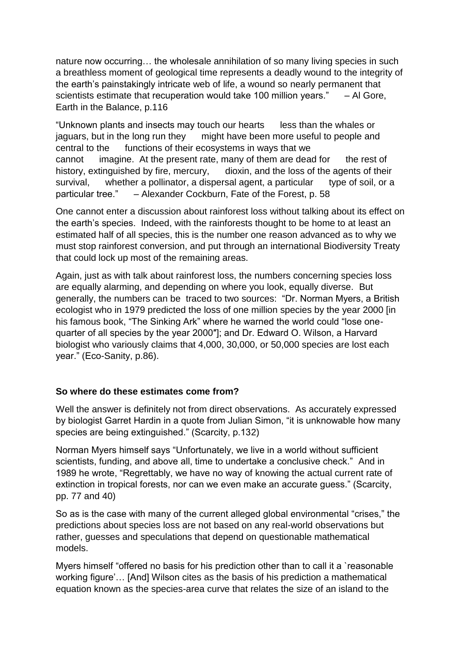nature now occurring… the wholesale annihilation of so many living species in such a breathless moment of geological time represents a deadly wound to the integrity of the earth's painstakingly intricate web of life, a wound so nearly permanent that scientists estimate that recuperation would take 100 million years." – Al Gore, Earth in the Balance, p.116

"Unknown plants and insects may touch our hearts less than the whales or jaguars, but in the long run they might have been more useful to people and central to the functions of their ecosystems in ways that we cannot imagine. At the present rate, many of them are dead for the rest of history, extinguished by fire, mercury, dioxin, and the loss of the agents of their survival, whether a pollinator, a dispersal agent, a particular type of soil, or a particular tree." – Alexander Cockburn, Fate of the Forest, p. 58

One cannot enter a discussion about rainforest loss without talking about its effect on the earth's species. Indeed, with the rainforests thought to be home to at least an estimated half of all species, this is the number one reason advanced as to why we must stop rainforest conversion, and put through an international Biodiversity Treaty that could lock up most of the remaining areas.

Again, just as with talk about rainforest loss, the numbers concerning species loss are equally alarming, and depending on where you look, equally diverse. But generally, the numbers can be traced to two sources: "Dr. Norman Myers, a British ecologist who in 1979 predicted the loss of one million species by the year 2000 [in his famous book, "The Sinking Ark" where he warned the world could "lose onequarter of all species by the year 2000″]; and Dr. Edward O. Wilson, a Harvard biologist who variously claims that 4,000, 30,000, or 50,000 species are lost each year." (Eco-Sanity, p.86).

## **So where do these estimates come from?**

Well the answer is definitely not from direct observations. As accurately expressed by biologist Garret Hardin in a quote from Julian Simon, "it is unknowable how many species are being extinguished." (Scarcity, p.132)

Norman Myers himself says "Unfortunately, we live in a world without sufficient scientists, funding, and above all, time to undertake a conclusive check." And in 1989 he wrote, "Regrettably, we have no way of knowing the actual current rate of extinction in tropical forests, nor can we even make an accurate guess." (Scarcity, pp. 77 and 40)

So as is the case with many of the current alleged global environmental "crises," the predictions about species loss are not based on any real-world observations but rather, guesses and speculations that depend on questionable mathematical models.

Myers himself "offered no basis for his prediction other than to call it a `reasonable working figure'… [And] Wilson cites as the basis of his prediction a mathematical equation known as the species-area curve that relates the size of an island to the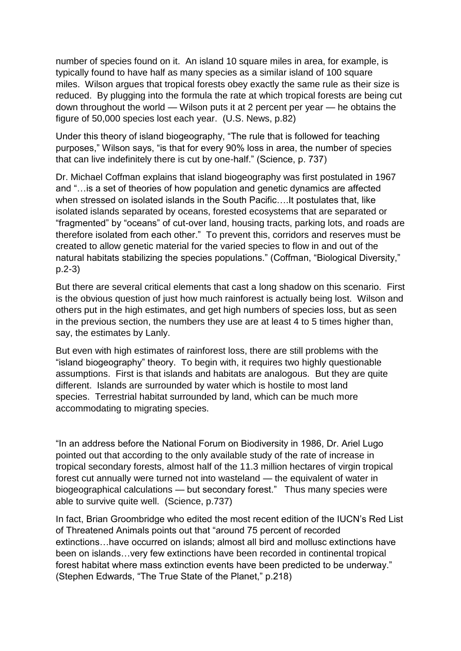number of species found on it. An island 10 square miles in area, for example, is typically found to have half as many species as a similar island of 100 square miles. Wilson argues that tropical forests obey exactly the same rule as their size is reduced. By plugging into the formula the rate at which tropical forests are being cut down throughout the world — Wilson puts it at 2 percent per year — he obtains the figure of 50,000 species lost each year. (U.S. News, p.82)

Under this theory of island biogeography, "The rule that is followed for teaching purposes," Wilson says, "is that for every 90% loss in area, the number of species that can live indefinitely there is cut by one-half." (Science, p. 737)

Dr. Michael Coffman explains that island biogeography was first postulated in 1967 and "…is a set of theories of how population and genetic dynamics are affected when stressed on isolated islands in the South Pacific….It postulates that, like isolated islands separated by oceans, forested ecosystems that are separated or "fragmented" by "oceans" of cut-over land, housing tracts, parking lots, and roads are therefore isolated from each other." To prevent this, corridors and reserves must be created to allow genetic material for the varied species to flow in and out of the natural habitats stabilizing the species populations." (Coffman, "Biological Diversity," p.2-3)

But there are several critical elements that cast a long shadow on this scenario. First is the obvious question of just how much rainforest is actually being lost. Wilson and others put in the high estimates, and get high numbers of species loss, but as seen in the previous section, the numbers they use are at least 4 to 5 times higher than, say, the estimates by Lanly.

But even with high estimates of rainforest loss, there are still problems with the "island biogeography" theory. To begin with, it requires two highly questionable assumptions. First is that islands and habitats are analogous. But they are quite different. Islands are surrounded by water which is hostile to most land species. Terrestrial habitat surrounded by land, which can be much more accommodating to migrating species.

"In an address before the National Forum on Biodiversity in 1986, Dr. Ariel Lugo pointed out that according to the only available study of the rate of increase in tropical secondary forests, almost half of the 11.3 million hectares of virgin tropical forest cut annually were turned not into wasteland — the equivalent of water in biogeographical calculations — but secondary forest." Thus many species were able to survive quite well. (Science, p.737)

In fact, Brian Groombridge who edited the most recent edition of the IUCN's Red List of Threatened Animals points out that "around 75 percent of recorded extinctions…have occurred on islands; almost all bird and mollusc extinctions have been on islands…very few extinctions have been recorded in continental tropical forest habitat where mass extinction events have been predicted to be underway." (Stephen Edwards, "The True State of the Planet," p.218)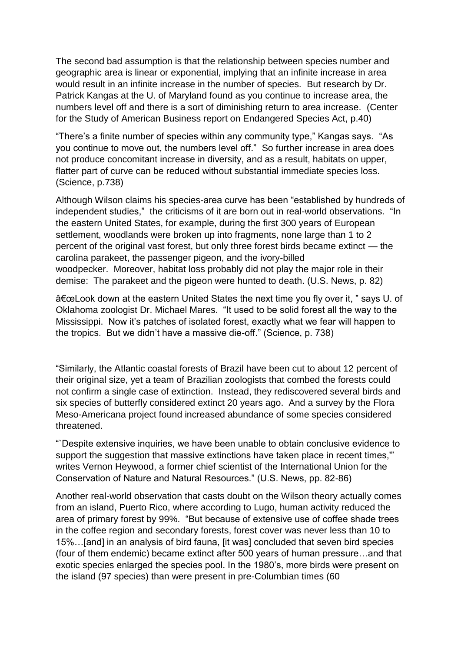The second bad assumption is that the relationship between species number and geographic area is linear or exponential, implying that an infinite increase in area would result in an infinite increase in the number of species. But research by Dr. Patrick Kangas at the U. of Maryland found as you continue to increase area, the numbers level off and there is a sort of diminishing return to area increase. (Center for the Study of American Business report on Endangered Species Act, p.40)

"There's a finite number of species within any community type," Kangas says. "As you continue to move out, the numbers level off." So further increase in area does not produce concomitant increase in diversity, and as a result, habitats on upper, flatter part of curve can be reduced without substantial immediate species loss. (Science, p.738)

Although Wilson claims his species-area curve has been "established by hundreds of independent studies," the criticisms of it are born out in real-world observations. "In the eastern United States, for example, during the first 300 years of European settlement, woodlands were broken up into fragments, none large than 1 to 2 percent of the original vast forest, but only three forest birds became extinct — the carolina parakeet, the passenger pigeon, and the ivory-billed woodpecker. Moreover, habitat loss probably did not play the major role in their demise: The parakeet and the pigeon were hunted to death. (U.S. News, p. 82)

"Look down at the eastern United States the next time you fly over it, " says U. of Oklahoma zoologist Dr. Michael Mares. "It used to be solid forest all the way to the Mississippi. Now it's patches of isolated forest, exactly what we fear will happen to the tropics. But we didn't have a massive die-off." (Science, p. 738)

"Similarly, the Atlantic coastal forests of Brazil have been cut to about 12 percent of their original size, yet a team of Brazilian zoologists that combed the forests could not confirm a single case of extinction. Instead, they rediscovered several birds and six species of butterfly considered extinct 20 years ago. And a survey by the Flora Meso-Americana project found increased abundance of some species considered threatened.

"`Despite extensive inquiries, we have been unable to obtain conclusive evidence to support the suggestion that massive extinctions have taken place in recent times,'" writes Vernon Heywood, a former chief scientist of the International Union for the Conservation of Nature and Natural Resources." (U.S. News, pp. 82-86)

Another real-world observation that casts doubt on the Wilson theory actually comes from an island, Puerto Rico, where according to Lugo, human activity reduced the area of primary forest by 99%. "But because of extensive use of coffee shade trees in the coffee region and secondary forests, forest cover was never less than 10 to 15%…[and] in an analysis of bird fauna, [it was] concluded that seven bird species (four of them endemic) became extinct after 500 years of human pressure…and that exotic species enlarged the species pool. In the 1980's, more birds were present on the island (97 species) than were present in pre-Columbian times (60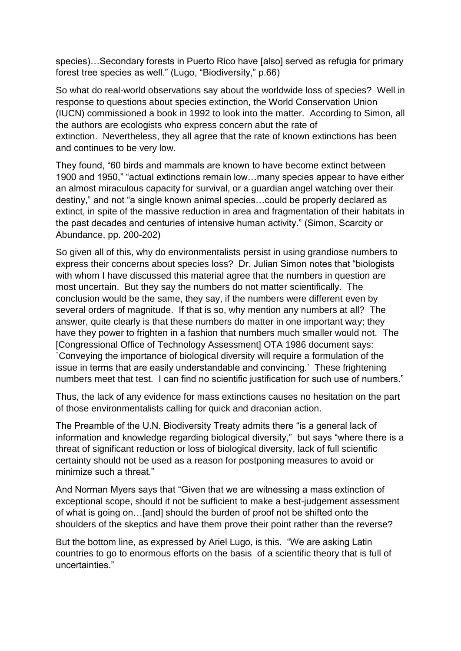species)…Secondary forests in Puerto Rico have [also] served as refugia for primary forest tree species as well." (Lugo, "Biodiversity," p.66)

So what do real-world observations say about the worldwide loss of species? Well in response to questions about species extinction, the World Conservation Union (IUCN) commissioned a book in 1992 to look into the matter. According to Simon, all the authors are ecologists who express concern abut the rate of extinction. Nevertheless, they all agree that the rate of known extinctions has been and continues to be very low.

They found, "60 birds and mammals are known to have become extinct between 1900 and 1950," "actual extinctions remain low…many species appear to have either an almost miraculous capacity for survival, or a guardian angel watching over their destiny," and not "a single known animal species…could be properly declared as extinct, in spite of the massive reduction in area and fragmentation of their habitats in the past decades and centuries of intensive human activity." (Simon, Scarcity or Abundance, pp. 200-202)

So given all of this, why do environmentalists persist in using grandiose numbers to express their concerns about species loss? Dr. Julian Simon notes that "biologists with whom I have discussed this material agree that the numbers in question are most uncertain. But they say the numbers do not matter scientifically. The conclusion would be the same, they say, if the numbers were different even by several orders of magnitude. If that is so, why mention any numbers at all? The answer, quite clearly is that these numbers do matter in one important way; they have they power to frighten in a fashion that numbers much smaller would not. The [Congressional Office of Technology Assessment] OTA 1986 document says: `Conveying the importance of biological diversity will require a formulation of the issue in terms that are easily understandable and convincing.' These frightening numbers meet that test. I can find no scientific justification for such use of numbers."

Thus, the lack of any evidence for mass extinctions causes no hesitation on the part of those environmentalists calling for quick and draconian action.

The Preamble of the U.N. Biodiversity Treaty admits there "is a general lack of information and knowledge regarding biological diversity," but says "where there is a threat of significant reduction or loss of biological diversity, lack of full scientific certainty should not be used as a reason for postponing measures to avoid or minimize such a threat."

And Norman Myers says that "Given that we are witnessing a mass extinction of exceptional scope, should it not be sufficient to make a best-judgement assessment of what is going on…[and] should the burden of proof not be shifted onto the shoulders of the skeptics and have them prove their point rather than the reverse?

But the bottom line, as expressed by Ariel Lugo, is this. "We are asking Latin countries to go to enormous efforts on the basis of a scientific theory that is full of uncertainties."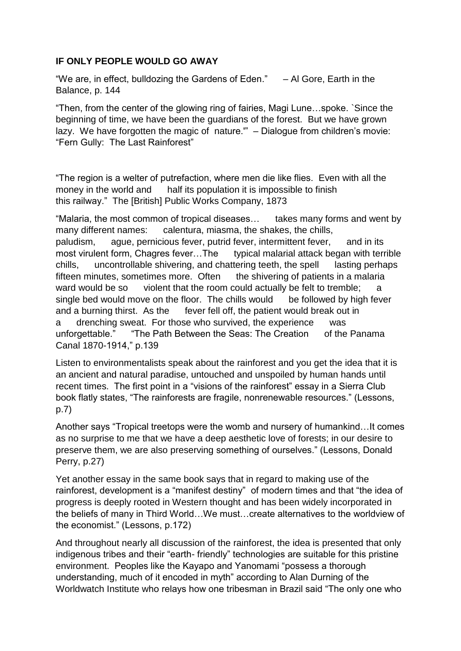## **IF ONLY PEOPLE WOULD GO AWAY**

"We are, in effect, bulldozing the Gardens of Eden."  $-$  Al Gore, Earth in the Balance, p. 144

"Then, from the center of the glowing ring of fairies, Magi Lune…spoke. `Since the beginning of time, we have been the guardians of the forest. But we have grown lazy. We have forgotten the magic of nature.'" – Dialogue from children's movie: "Fern Gully: The Last Rainforest"

"The region is a welter of putrefaction, where men die like flies. Even with all the money in the world and half its population it is impossible to finish this railway." The [British] Public Works Company, 1873

"Malaria, the most common of tropical diseases… takes many forms and went by many different names: calentura, miasma, the shakes, the chills, paludism, ague, pernicious fever, putrid fever, intermittent fever, and in its most virulent form, Chagres fever...The typical malarial attack began with terrible chills, uncontrollable shivering, and chattering teeth, the spell lasting perhaps fifteen minutes, sometimes more. Often the shivering of patients in a malaria ward would be so violent that the room could actually be felt to tremble; single bed would move on the floor. The chills would be followed by high fever and a burning thirst. As the fever fell off, the patient would break out in a drenching sweat. For those who survived, the experience was unforgettable." "The Path Between the Seas: The Creation of the Panama Canal 1870-1914," p.139

Listen to environmentalists speak about the rainforest and you get the idea that it is an ancient and natural paradise, untouched and unspoiled by human hands until recent times. The first point in a "visions of the rainforest" essay in a Sierra Club book flatly states, "The rainforests are fragile, nonrenewable resources." (Lessons, p.7)

Another says "Tropical treetops were the womb and nursery of humankind…It comes as no surprise to me that we have a deep aesthetic love of forests; in our desire to preserve them, we are also preserving something of ourselves." (Lessons, Donald Perry, p.27)

Yet another essay in the same book says that in regard to making use of the rainforest, development is a "manifest destiny" of modern times and that "the idea of progress is deeply rooted in Western thought and has been widely incorporated in the beliefs of many in Third World…We must…create alternatives to the worldview of the economist." (Lessons, p.172)

And throughout nearly all discussion of the rainforest, the idea is presented that only indigenous tribes and their "earth- friendly" technologies are suitable for this pristine environment. Peoples like the Kayapo and Yanomami "possess a thorough understanding, much of it encoded in myth" according to Alan Durning of the Worldwatch Institute who relays how one tribesman in Brazil said "The only one who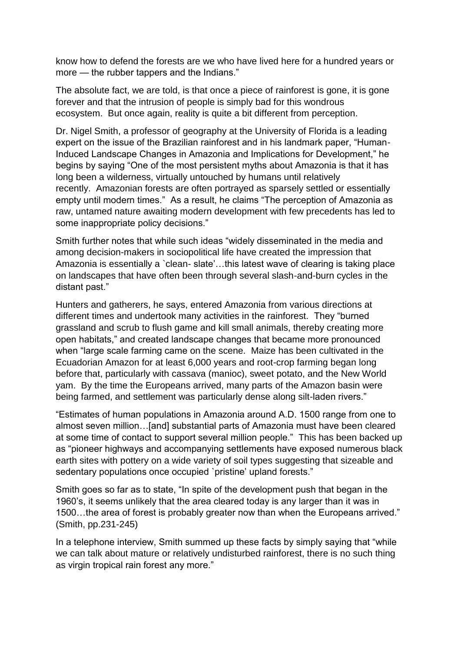know how to defend the forests are we who have lived here for a hundred years or more — the rubber tappers and the Indians."

The absolute fact, we are told, is that once a piece of rainforest is gone, it is gone forever and that the intrusion of people is simply bad for this wondrous ecosystem. But once again, reality is quite a bit different from perception.

Dr. Nigel Smith, a professor of geography at the University of Florida is a leading expert on the issue of the Brazilian rainforest and in his landmark paper, "Human-Induced Landscape Changes in Amazonia and Implications for Development," he begins by saying "One of the most persistent myths about Amazonia is that it has long been a wilderness, virtually untouched by humans until relatively recently. Amazonian forests are often portrayed as sparsely settled or essentially empty until modern times." As a result, he claims "The perception of Amazonia as raw, untamed nature awaiting modern development with few precedents has led to some inappropriate policy decisions."

Smith further notes that while such ideas "widely disseminated in the media and among decision-makers in sociopolitical life have created the impression that Amazonia is essentially a `clean- slate'…this latest wave of clearing is taking place on landscapes that have often been through several slash-and-burn cycles in the distant past."

Hunters and gatherers, he says, entered Amazonia from various directions at different times and undertook many activities in the rainforest. They "burned grassland and scrub to flush game and kill small animals, thereby creating more open habitats," and created landscape changes that became more pronounced when "large scale farming came on the scene. Maize has been cultivated in the Ecuadorian Amazon for at least 6,000 years and root-crop farming began long before that, particularly with cassava (manioc), sweet potato, and the New World yam. By the time the Europeans arrived, many parts of the Amazon basin were being farmed, and settlement was particularly dense along silt-laden rivers."

"Estimates of human populations in Amazonia around A.D. 1500 range from one to almost seven million…[and] substantial parts of Amazonia must have been cleared at some time of contact to support several million people." This has been backed up as "pioneer highways and accompanying settlements have exposed numerous black earth sites with pottery on a wide variety of soil types suggesting that sizeable and sedentary populations once occupied 'pristine' upland forests."

Smith goes so far as to state, "In spite of the development push that began in the 1960's, it seems unlikely that the area cleared today is any larger than it was in 1500…the area of forest is probably greater now than when the Europeans arrived." (Smith, pp.231-245)

In a telephone interview, Smith summed up these facts by simply saying that "while we can talk about mature or relatively undisturbed rainforest, there is no such thing as virgin tropical rain forest any more."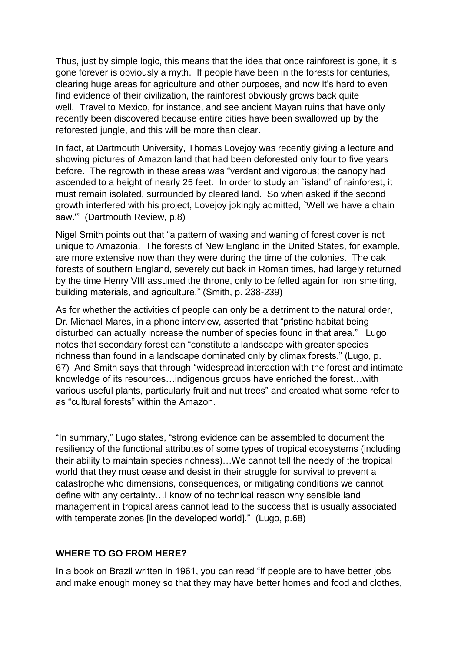Thus, just by simple logic, this means that the idea that once rainforest is gone, it is gone forever is obviously a myth. If people have been in the forests for centuries, clearing huge areas for agriculture and other purposes, and now it's hard to even find evidence of their civilization, the rainforest obviously grows back quite well. Travel to Mexico, for instance, and see ancient Mayan ruins that have only recently been discovered because entire cities have been swallowed up by the reforested jungle, and this will be more than clear.

In fact, at Dartmouth University, Thomas Lovejoy was recently giving a lecture and showing pictures of Amazon land that had been deforested only four to five years before. The regrowth in these areas was "verdant and vigorous; the canopy had ascended to a height of nearly 25 feet. In order to study an `island' of rainforest, it must remain isolated, surrounded by cleared land. So when asked if the second growth interfered with his project, Lovejoy jokingly admitted, `Well we have a chain saw.'" (Dartmouth Review, p.8)

Nigel Smith points out that "a pattern of waxing and waning of forest cover is not unique to Amazonia. The forests of New England in the United States, for example, are more extensive now than they were during the time of the colonies. The oak forests of southern England, severely cut back in Roman times, had largely returned by the time Henry VIII assumed the throne, only to be felled again for iron smelting, building materials, and agriculture." (Smith, p. 238-239)

As for whether the activities of people can only be a detriment to the natural order, Dr. Michael Mares, in a phone interview, asserted that "pristine habitat being disturbed can actually increase the number of species found in that area." Lugo notes that secondary forest can "constitute a landscape with greater species richness than found in a landscape dominated only by climax forests." (Lugo, p. 67) And Smith says that through "widespread interaction with the forest and intimate knowledge of its resources…indigenous groups have enriched the forest…with various useful plants, particularly fruit and nut trees" and created what some refer to as "cultural forests" within the Amazon.

"In summary," Lugo states, "strong evidence can be assembled to document the resiliency of the functional attributes of some types of tropical ecosystems (including their ability to maintain species richness)…We cannot tell the needy of the tropical world that they must cease and desist in their struggle for survival to prevent a catastrophe who dimensions, consequences, or mitigating conditions we cannot define with any certainty…I know of no technical reason why sensible land management in tropical areas cannot lead to the success that is usually associated with temperate zones [in the developed world]." (Lugo, p.68)

#### **WHERE TO GO FROM HERE?**

In a book on Brazil written in 1961, you can read "If people are to have better jobs and make enough money so that they may have better homes and food and clothes,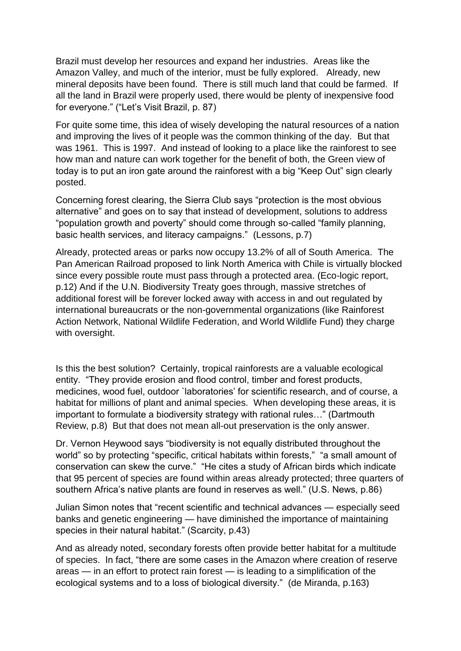Brazil must develop her resources and expand her industries. Areas like the Amazon Valley, and much of the interior, must be fully explored. Already, new mineral deposits have been found. There is still much land that could be farmed. If all the land in Brazil were properly used, there would be plenty of inexpensive food for everyone." ("Let's Visit Brazil, p. 87)

For quite some time, this idea of wisely developing the natural resources of a nation and improving the lives of it people was the common thinking of the day. But that was 1961. This is 1997. And instead of looking to a place like the rainforest to see how man and nature can work together for the benefit of both, the Green view of today is to put an iron gate around the rainforest with a big "Keep Out" sign clearly posted.

Concerning forest clearing, the Sierra Club says "protection is the most obvious alternative" and goes on to say that instead of development, solutions to address "population growth and poverty" should come through so-called "family planning, basic health services, and literacy campaigns." (Lessons, p.7)

Already, protected areas or parks now occupy 13.2% of all of South America. The Pan American Railroad proposed to link North America with Chile is virtually blocked since every possible route must pass through a protected area. (Eco-logic report, p.12) And if the U.N. Biodiversity Treaty goes through, massive stretches of additional forest will be forever locked away with access in and out regulated by international bureaucrats or the non-governmental organizations (like Rainforest Action Network, National Wildlife Federation, and World Wildlife Fund) they charge with oversight.

Is this the best solution? Certainly, tropical rainforests are a valuable ecological entity. "They provide erosion and flood control, timber and forest products, medicines, wood fuel, outdoor `laboratories' for scientific research, and of course, a habitat for millions of plant and animal species. When developing these areas, it is important to formulate a biodiversity strategy with rational rules…" (Dartmouth Review, p.8) But that does not mean all-out preservation is the only answer.

Dr. Vernon Heywood says "biodiversity is not equally distributed throughout the world" so by protecting "specific, critical habitats within forests," "a small amount of conservation can skew the curve." "He cites a study of African birds which indicate that 95 percent of species are found within areas already protected; three quarters of southern Africa's native plants are found in reserves as well." (U.S. News, p.86)

Julian Simon notes that "recent scientific and technical advances — especially seed banks and genetic engineering — have diminished the importance of maintaining species in their natural habitat." (Scarcity, p.43)

And as already noted, secondary forests often provide better habitat for a multitude of species. In fact, "there are some cases in the Amazon where creation of reserve areas — in an effort to protect rain forest — is leading to a simplification of the ecological systems and to a loss of biological diversity." (de Miranda, p.163)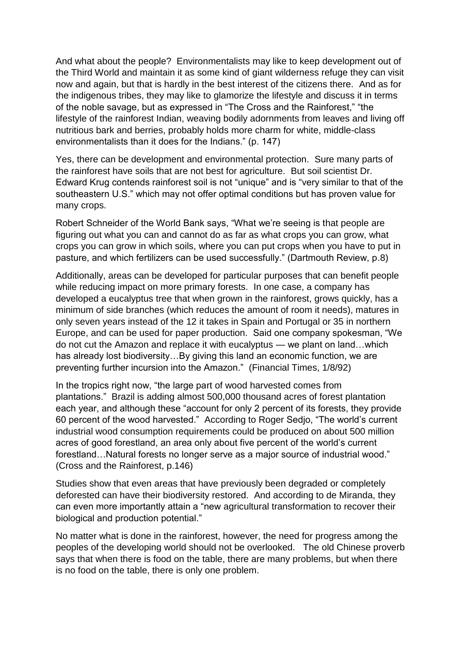And what about the people? Environmentalists may like to keep development out of the Third World and maintain it as some kind of giant wilderness refuge they can visit now and again, but that is hardly in the best interest of the citizens there. And as for the indigenous tribes, they may like to glamorize the lifestyle and discuss it in terms of the noble savage, but as expressed in "The Cross and the Rainforest," "the lifestyle of the rainforest Indian, weaving bodily adornments from leaves and living off nutritious bark and berries, probably holds more charm for white, middle-class environmentalists than it does for the Indians." (p. 147)

Yes, there can be development and environmental protection. Sure many parts of the rainforest have soils that are not best for agriculture. But soil scientist Dr. Edward Krug contends rainforest soil is not "unique" and is "very similar to that of the southeastern U.S." which may not offer optimal conditions but has proven value for many crops.

Robert Schneider of the World Bank says, "What we're seeing is that people are figuring out what you can and cannot do as far as what crops you can grow, what crops you can grow in which soils, where you can put crops when you have to put in pasture, and which fertilizers can be used successfully." (Dartmouth Review, p.8)

Additionally, areas can be developed for particular purposes that can benefit people while reducing impact on more primary forests. In one case, a company has developed a eucalyptus tree that when grown in the rainforest, grows quickly, has a minimum of side branches (which reduces the amount of room it needs), matures in only seven years instead of the 12 it takes in Spain and Portugal or 35 in northern Europe, and can be used for paper production. Said one company spokesman, "We do not cut the Amazon and replace it with eucalyptus — we plant on land…which has already lost biodiversity…By giving this land an economic function, we are preventing further incursion into the Amazon." (Financial Times, 1/8/92)

In the tropics right now, "the large part of wood harvested comes from plantations." Brazil is adding almost 500,000 thousand acres of forest plantation each year, and although these "account for only 2 percent of its forests, they provide 60 percent of the wood harvested." According to Roger Sedjo, "The world's current industrial wood consumption requirements could be produced on about 500 million acres of good forestland, an area only about five percent of the world's current forestland…Natural forests no longer serve as a major source of industrial wood." (Cross and the Rainforest, p.146)

Studies show that even areas that have previously been degraded or completely deforested can have their biodiversity restored. And according to de Miranda, they can even more importantly attain a "new agricultural transformation to recover their biological and production potential."

No matter what is done in the rainforest, however, the need for progress among the peoples of the developing world should not be overlooked. The old Chinese proverb says that when there is food on the table, there are many problems, but when there is no food on the table, there is only one problem.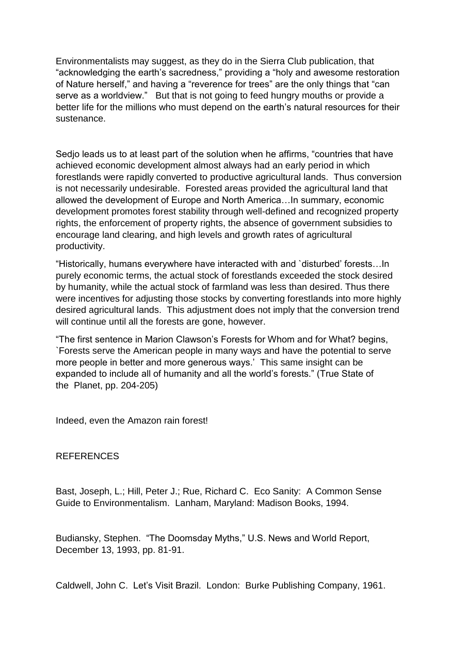Environmentalists may suggest, as they do in the Sierra Club publication, that "acknowledging the earth's sacredness," providing a "holy and awesome restoration of Nature herself," and having a "reverence for trees" are the only things that "can serve as a worldview." But that is not going to feed hungry mouths or provide a better life for the millions who must depend on the earth's natural resources for their sustenance.

Sedjo leads us to at least part of the solution when he affirms, "countries that have achieved economic development almost always had an early period in which forestlands were rapidly converted to productive agricultural lands. Thus conversion is not necessarily undesirable. Forested areas provided the agricultural land that allowed the development of Europe and North America…In summary, economic development promotes forest stability through well-defined and recognized property rights, the enforcement of property rights, the absence of government subsidies to encourage land clearing, and high levels and growth rates of agricultural productivity.

"Historically, humans everywhere have interacted with and `disturbed' forests…In purely economic terms, the actual stock of forestlands exceeded the stock desired by humanity, while the actual stock of farmland was less than desired. Thus there were incentives for adjusting those stocks by converting forestlands into more highly desired agricultural lands. This adjustment does not imply that the conversion trend will continue until all the forests are gone, however.

"The first sentence in Marion Clawson's Forests for Whom and for What? begins, `Forests serve the American people in many ways and have the potential to serve more people in better and more generous ways.' This same insight can be expanded to include all of humanity and all the world's forests." (True State of the Planet, pp. 204-205)

Indeed, even the Amazon rain forest!

#### REFERENCES

Bast, Joseph, L.; Hill, Peter J.; Rue, Richard C. Eco Sanity: A Common Sense Guide to Environmentalism. Lanham, Maryland: Madison Books, 1994.

Budiansky, Stephen. "The Doomsday Myths," U.S. News and World Report, December 13, 1993, pp. 81-91.

Caldwell, John C. Let's Visit Brazil. London: Burke Publishing Company, 1961.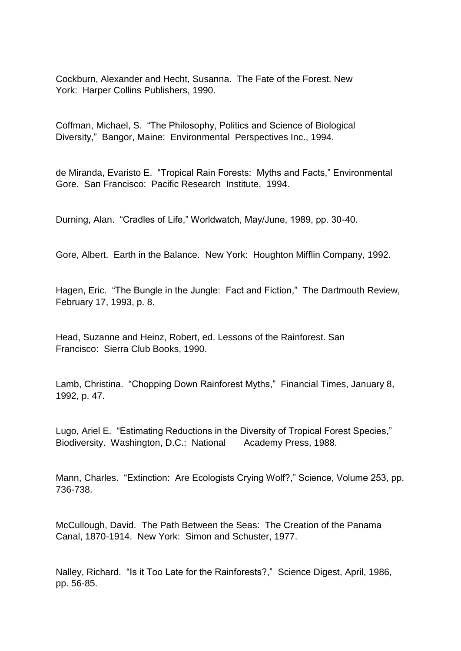Cockburn, Alexander and Hecht, Susanna. The Fate of the Forest. New York: Harper Collins Publishers, 1990.

Coffman, Michael, S. "The Philosophy, Politics and Science of Biological Diversity," Bangor, Maine: Environmental Perspectives Inc., 1994.

de Miranda, Evaristo E. "Tropical Rain Forests: Myths and Facts," Environmental Gore. San Francisco: Pacific Research Institute, 1994.

Durning, Alan. "Cradles of Life," Worldwatch, May/June, 1989, pp. 30-40.

Gore, Albert. Earth in the Balance. New York: Houghton Mifflin Company, 1992.

Hagen, Eric. "The Bungle in the Jungle: Fact and Fiction," The Dartmouth Review, February 17, 1993, p. 8.

Head, Suzanne and Heinz, Robert, ed. Lessons of the Rainforest. San Francisco: Sierra Club Books, 1990.

Lamb, Christina. "Chopping Down Rainforest Myths," Financial Times, January 8, 1992, p. 47.

Lugo, Ariel E. "Estimating Reductions in the Diversity of Tropical Forest Species," Biodiversity. Washington, D.C.: National Academy Press, 1988.

Mann, Charles. "Extinction: Are Ecologists Crying Wolf?," Science, Volume 253, pp. 736-738.

McCullough, David. The Path Between the Seas: The Creation of the Panama Canal, 1870-1914. New York: Simon and Schuster, 1977.

Nalley, Richard. "Is it Too Late for the Rainforests?," Science Digest, April, 1986, pp. 56-85.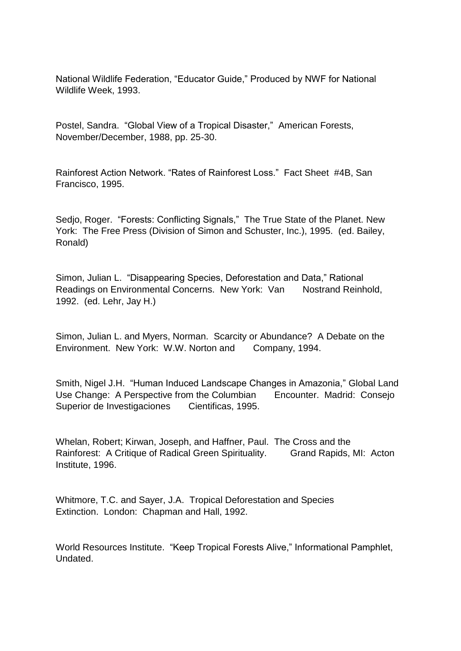National Wildlife Federation, "Educator Guide," Produced by NWF for National Wildlife Week, 1993.

Postel, Sandra. "Global View of a Tropical Disaster," American Forests, November/December, 1988, pp. 25-30.

Rainforest Action Network. "Rates of Rainforest Loss." Fact Sheet #4B, San Francisco, 1995.

Sedjo, Roger. "Forests: Conflicting Signals," The True State of the Planet. New York: The Free Press (Division of Simon and Schuster, Inc.), 1995. (ed. Bailey, Ronald)

Simon, Julian L. "Disappearing Species, Deforestation and Data," Rational Readings on Environmental Concerns. New York: Van Nostrand Reinhold, 1992. (ed. Lehr, Jay H.)

Simon, Julian L. and Myers, Norman. Scarcity or Abundance? A Debate on the Environment. New York: W.W. Norton and Company, 1994.

Smith, Nigel J.H. "Human Induced Landscape Changes in Amazonia," Global Land Use Change: A Perspective from the Columbian Encounter. Madrid: Consejo Superior de Investigaciones Cientificas, 1995.

Whelan, Robert; Kirwan, Joseph, and Haffner, Paul. The Cross and the Rainforest: A Critique of Radical Green Spirituality. Grand Rapids, MI: Acton Institute, 1996.

Whitmore, T.C. and Sayer, J.A. Tropical Deforestation and Species Extinction. London: Chapman and Hall, 1992.

World Resources Institute. "Keep Tropical Forests Alive," Informational Pamphlet, Undated.